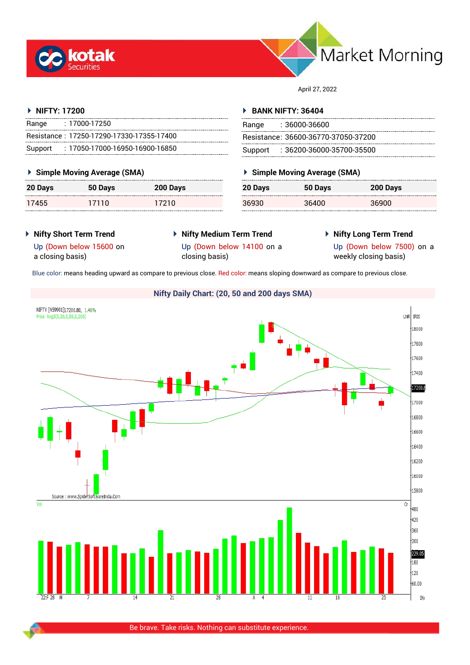



April 27, 2022

# **NIFTY: 17200**

| Range | : 17000-17250                             |
|-------|-------------------------------------------|
|       | Resistance: 17250-17290-17330-17355-17400 |
|       | Support: : 17050-17000-16950-16900-16850  |

# **Simple Moving Average (SMA)**

| 20 Days | 50 Days | 200 Days |
|---------|---------|----------|
| 17455   | 17110   | 17210    |

# **BANK NIFTY: 36404**

| Range | : 36000-36600                       |
|-------|-------------------------------------|
|       | Resistance: 36600-36770-37050-37200 |
|       | Support: 36200-36000-35700-35500    |

# **Simple Moving Average (SMA)**

| 20 Days | 50 Days | 200 Days |
|---------|---------|----------|
| 36930   | 36400   | 36900    |

- **Nifty Short Term Trend**
- **Nifty Medium Term Trend**
- **Nifty Long Term Trend**

Up (Down below 15600 on a closing basis)

Up (Down below 14100 on a closing basis)

Up (Down below 7500) on a weekly closing basis)

Blue color: means heading upward as compare to previous close. Red color: means sloping downward as compare to previous close.

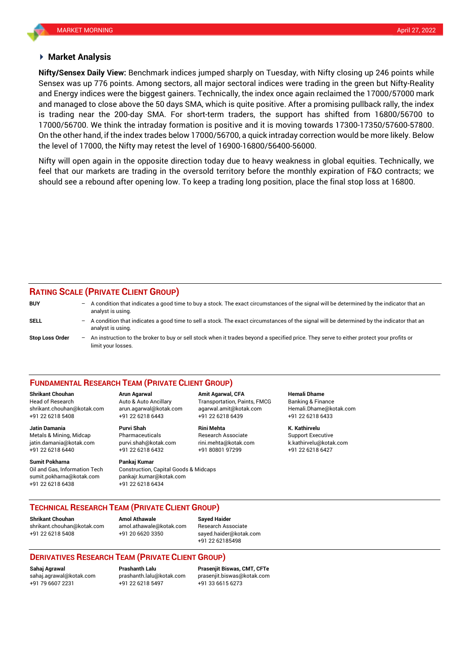# **Market Analysis**

Sensex was up 776 points. Among sectors, all major sectoral indices were trading in the green but Nifty-Reality **Nifty/Sensex Daily View:** Benchmark indices jumped sharply on Tuesday, with Nifty closing up 246 points while and Energy indices were the biggest gainers. Technically, the index once again reclaimed the 17000/57000 mark and managed to close above the 50 days SMA, which is quite positive. After a promising pullback rally, the index is trading near the 200-day SMA. For short-term traders, the support has shifted from 16800/56700 to 17000/56700. We think the intraday formation is positive and it is moving towards 17300-17350/57600-57800. On the other hand, if the index trades below 17000/56700, a quick intraday correction would be more likely. Below the level of 17000, the Nifty may retest the level of 16900-16800/56400-56000.

Nifty will open again in the opposite direction today due to heavy weakness in global equities. Technically, we feel that our markets are trading in the oversold territory before the monthly expiration of F&O contracts; we should see a rebound after opening low. To keep a trading long position, place the final stop loss at 16800.

# **RATING SCALE (PRIVATE CLIENT GROUP)**

| <b>BUY</b>             | -                        | A condition that indicates a good time to buy a stock. The exact circumstances of the signal will be determined by the indicator that an<br>analyst is using.  |
|------------------------|--------------------------|----------------------------------------------------------------------------------------------------------------------------------------------------------------|
| SELL                   | $\overline{\phantom{0}}$ | A condition that indicates a good time to sell a stock. The exact circumstances of the signal will be determined by the indicator that an<br>analyst is using. |
| <b>Stop Loss Order</b> | $-$                      | An instruction to the broker to buy or sell stock when it trades beyond a specified price. They serve to either protect your profits or<br>limit your losses.  |

## **FUNDAMENTAL RESEARCH TEAM (PRIVATE CLIENT GROUP)**

Head of Research Auto & Auto Ancillary Transportation, Paints, FMCG Banking & Finance [shrikant.chouhan@kotak.com](mailto:shrikant.chouhan@kotak.com) arun.agarwal@kotak.com agarwal.amit@kotak.com Hemali.Dhame@kotak.com

**Jatin Damania Purvi Shah Rini Mehta K. Kathirvelu** Metals & Mining, Midcap Pharmaceuticals Research Associate Support Executive jatin.damania@kotak.com [purvi.shah@kotak.com](mailto:purvi.shah@kotak.com) rini.mehta@kotak.com [k.kathirvelu@kotak.com](mailto:k.kathirvelu@kotak.com) +91 22 6218 6440 +91 22 6218 6432 +91 80801 97299 +91 22 6218 6427

**Sumit Pokharna** Pankaj Kumar Oil and Gas, Information Tech Construction, Capital Goods & Midcaps sumit.pokharna@kotak.com pankajr.kumar@kotak.com +91 22 6218 6438 +91 22 6218 6434

+91 22 6218 5408 +91 22 6218 6443 +91 22 6218 6439 +91 22 6218 6433

**Shrikant Chouhan Arun Agarwal Amit Agarwal, CFA Hemali Dhame**

**TECHNICAL RESEARCH TEAM (PRIVATE CLIENT GROUP)**

**Shrikant Chouhan Amol Athawale Sayed Haider**

[shrikant.chouhan@kotak.com](mailto:shrikant.chouhan@kotak.com) [amol.athawale@kotak.com](mailto:amol.athawale@kotak.com) Research Associate +91 22 6218 5408 +91 20 6620 3350 [sayed.haider@kotak.com](mailto:sayed.haider@kotak.com)

+91 22 62185498

# **DERIVATIVES RESEARCH TEAM (PRIVATE CLIENT GROUP)**

+91 79 6607 2231 +91 22 6218 5497 +91 33 6615 6273

**Sahaj Agrawal Prashanth Lalu Prasenjit Biswas, CMT, CFTe** [sahaj.agrawal@kotak.com](mailto:sahaj.agrawal@kotak.com) [prashanth.lalu@kotak.com](mailto:prashanth.lalu@kotak.com) [prasenjit.biswas@kotak.com](mailto:prasenjit.biswas@kotak.com)